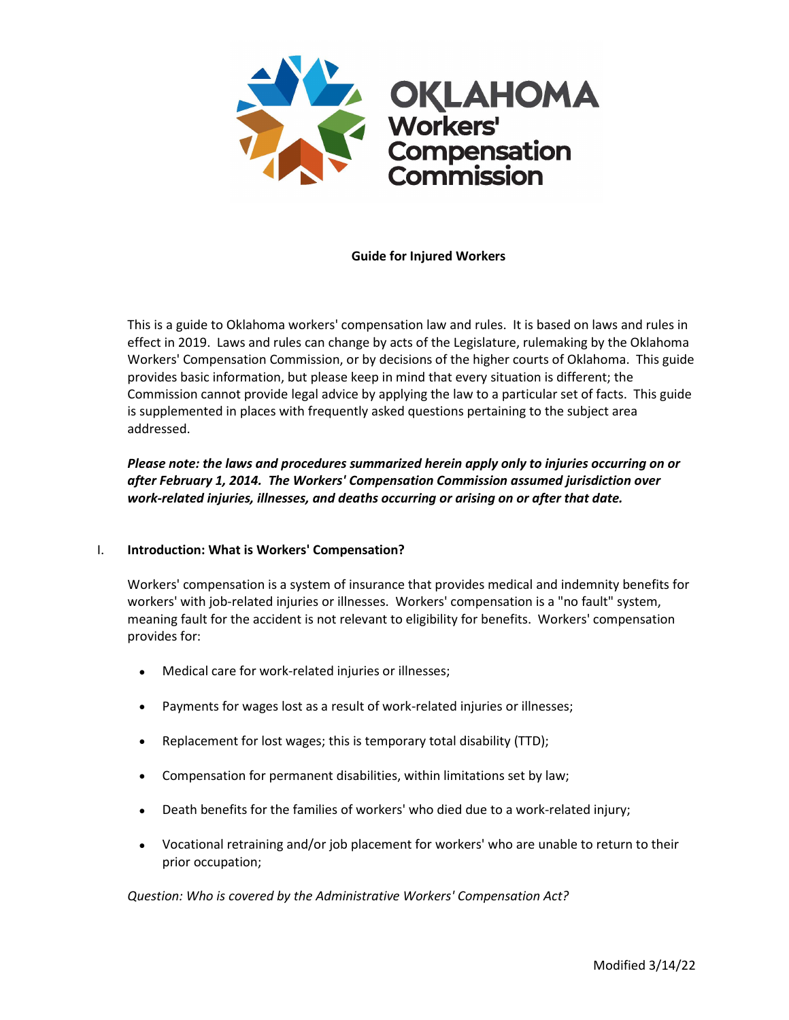

### **Guide for Injured Workers**

This is a guide to Oklahoma workers' compensation law and rules. It is based on laws and rules in effect in 2019. Laws and rules can change by acts of the Legislature, rulemaking by the Oklahoma Workers' Compensation Commission, or by decisions of the higher courts of Oklahoma. This guide provides basic information, but please keep in mind that every situation is different; the Commission cannot provide legal advice by applying the law to a particular set of facts. This guide is supplemented in places with frequently asked questions pertaining to the subject area addressed.

*Please note: the laws and procedures summarized herein apply only to injuries occurring on or after February 1, 2014. The Workers' Compensation Commission assumed jurisdiction over work-related injuries, illnesses, and deaths occurring or arising on or after that date.* 

## I. **Introduction: What is Workers' Compensation?**

Workers' compensation is a system of insurance that provides medical and indemnity benefits for workers' with job-related injuries or illnesses. Workers' compensation is a "no fault" system, meaning fault for the accident is not relevant to eligibility for benefits. Workers' compensation provides for:

- Medical care for work-related injuries or illnesses;
- Payments for wages lost as a result of work-related injuries or illnesses;
- Replacement for lost wages; this is temporary total disability (TTD);
- Compensation for permanent disabilities, within limitations set by law;
- Death benefits for the families of workers' who died due to a work-related injury;
- Vocational retraining and/or job placement for workers' who are unable to return to their prior occupation;

*Question: Who is covered by the Administrative Workers' Compensation Act?*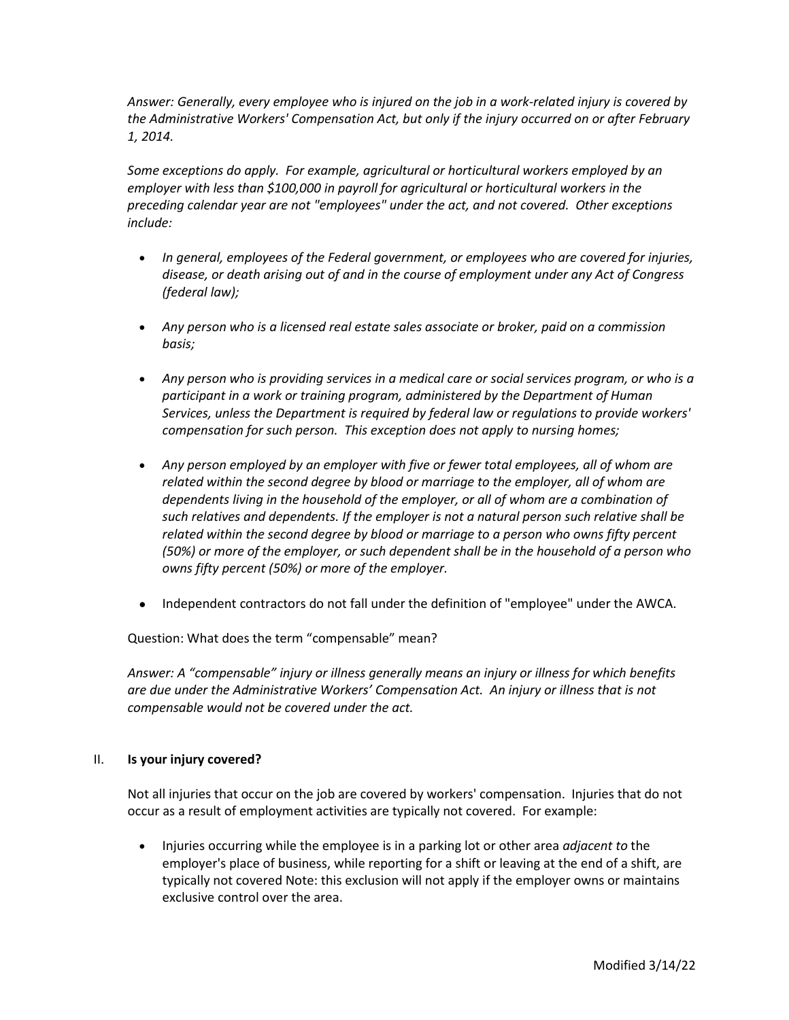*Answer: Generally, every employee who is injured on the job in a work-related injury is covered by the Administrative Workers' Compensation Act, but only if the injury occurred on or after February 1, 2014.* 

*Some exceptions do apply. For example, agricultural or horticultural workers employed by an employer with less than \$100,000 in payroll for agricultural or horticultural workers in the preceding calendar year are not "employees" under the act, and not covered. Other exceptions include:*

- *In general, employees of the Federal government, or employees who are covered for injuries, disease, or death arising out of and in the course of employment under any Act of Congress (federal law);*
- *Any person who is a licensed real estate sales associate or broker, paid on a commission basis;*
- *Any person who is providing services in a medical care or social services program, or who is a participant in a work or training program, administered by the Department of Human Services, unless the Department is required by federal law or regulations to provide workers' compensation for such person. This exception does not apply to nursing homes;*
- *Any person employed by an employer with five or fewer total employees, all of whom are related within the second degree by blood or marriage to the employer, all of whom are dependents living in the household of the employer, or all of whom are a combination of such relatives and dependents. If the employer is not a natural person such relative shall be related within the second degree by blood or marriage to a person who owns fifty percent (50%) or more of the employer, or such dependent shall be in the household of a person who owns fifty percent (50%) or more of the employer.*
- Independent contractors do not fall under the definition of "employee" under the AWCA.

Question: What does the term "compensable" mean?

*Answer: A "compensable" injury or illness generally means an injury or illness for which benefits are due under the Administrative Workers' Compensation Act. An injury or illness that is not compensable would not be covered under the act.*

## II. **Is your injury covered?**

Not all injuries that occur on the job are covered by workers' compensation. Injuries that do not occur as a result of employment activities are typically not covered. For example:

• Injuries occurring while the employee is in a parking lot or other area *adjacent to* the employer's place of business, while reporting for a shift or leaving at the end of a shift, are typically not covered Note: this exclusion will not apply if the employer owns or maintains exclusive control over the area.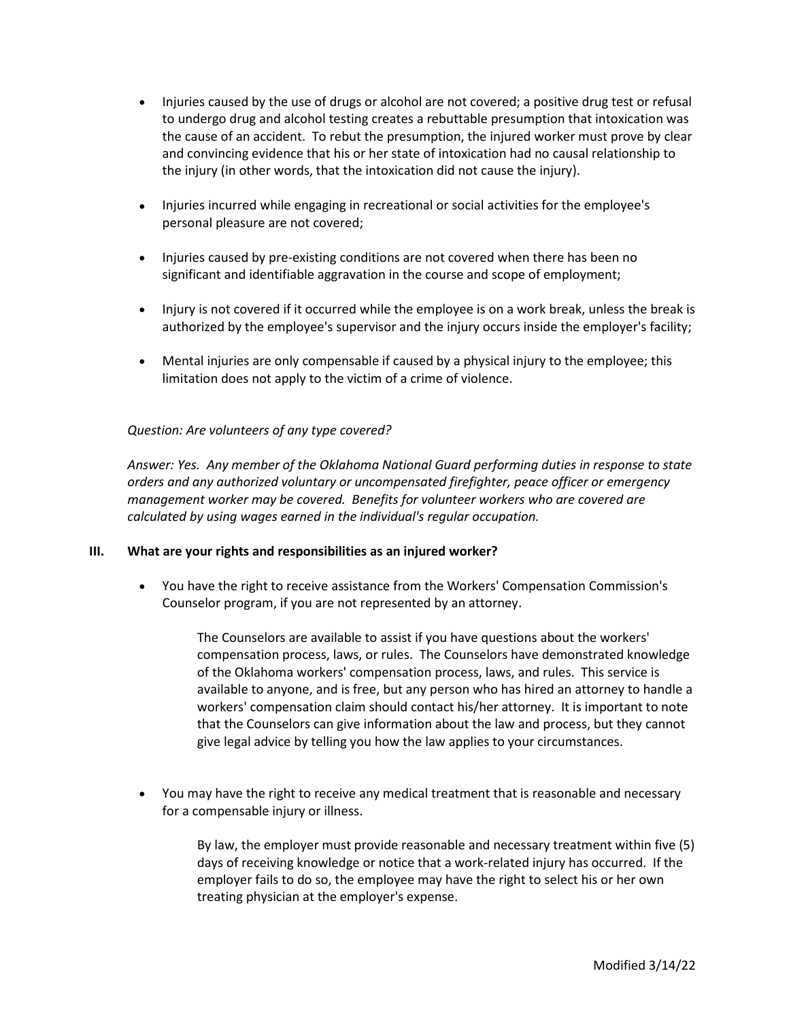- Injuries caused by the use of drugs or alcohol are not covered; a positive drug test or refusal to undergo drug and alcohol testing creates a rebuttable presumption that intoxication was the cause of an accident. To rebut the presumption, the injured worker must prove by clear and convincing evidence that his or her state of intoxication had no causal relationship to the injury (in other words, that the intoxication did not cause the injury).
- Injuries incurred while engaging in recreational or social activities for the employee's personal pleasure are not covered;
- Injuries caused by pre-existing conditions are not covered when there has been no significant and identifiable aggravation in the course and scope of employment;
- Injury is not covered if it occurred while the employee is on a work break, unless the break is authorized by the employee's supervisor and the injury occurs inside the employer's facility;
- Mental injuries are only compensable if caused by a physical injury to the employee; this limitation does not apply to the victim of a crime of violence.

## *Question: Are volunteers of any type covered?*

*Answer: Yes. Any member of the Oklahoma National Guard performing duties in response to state orders and any authorized voluntary or uncompensated firefighter, peace officer or emergency management worker may be covered. Benefits for volunteer workers who are covered are calculated by using wages earned in the individual's regular occupation.*

#### **III. What are your rights and responsibilities as an injured worker?**

• You have the right to receive assistance from the Workers' Compensation Commission's Counselor program, if you are not represented by an attorney.

> The Counselors are available to assist if you have questions about the workers' compensation process, laws, or rules. The Counselors have demonstrated knowledge of the Oklahoma workers' compensation process, laws, and rules. This service is available to anyone, and is free, but any person who has hired an attorney to handle a workers' compensation claim should contact his/her attorney. It is important to note that the Counselors can give information about the law and process, but they cannot give legal advice by telling you how the law applies to your circumstances.

• You may have the right to receive any medical treatment that is reasonable and necessary for a compensable injury or illness.

> By law, the employer must provide reasonable and necessary treatment within five (5) days of receiving knowledge or notice that a work-related injury has occurred. If the employer fails to do so, the employee may have the right to select his or her own treating physician at the employer's expense.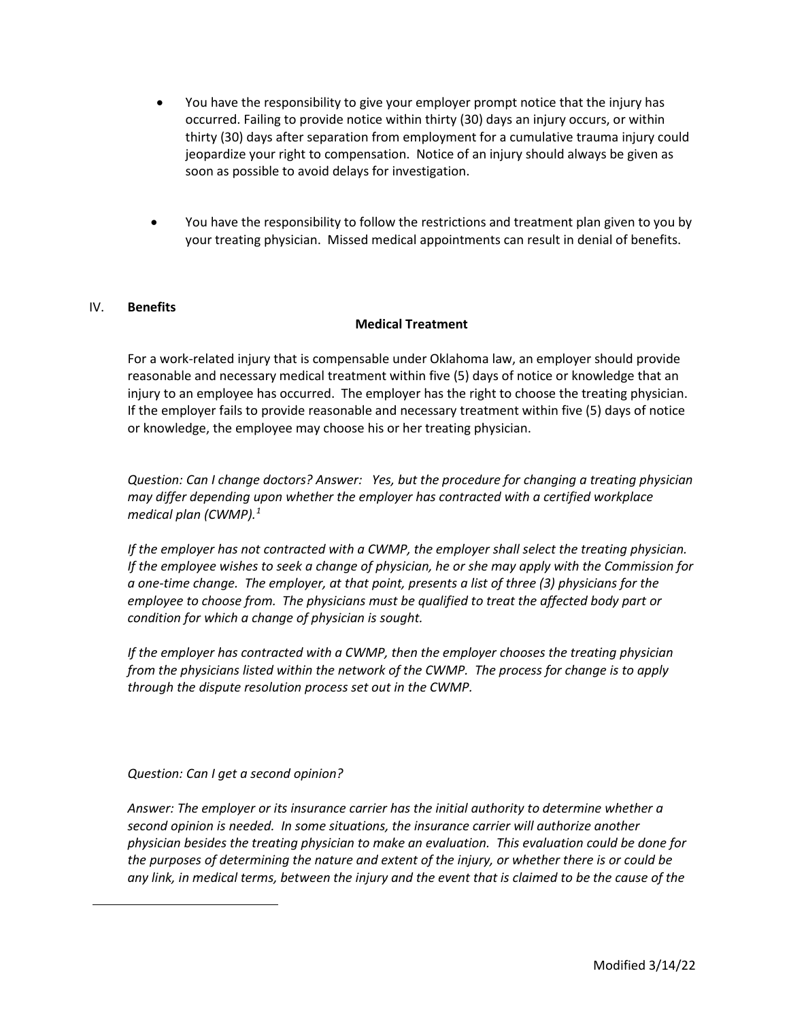- You have the responsibility to give your employer prompt notice that the injury has occurred. Failing to provide notice within thirty (30) days an injury occurs, or within thirty (30) days after separation from employment for a cumulative trauma injury could jeopardize your right to compensation. Notice of an injury should always be given as soon as possible to avoid delays for investigation.
- You have the responsibility to follow the restrictions and treatment plan given to you by your treating physician. Missed medical appointments can result in denial of benefits.

### IV. **Benefits**

### **Medical Treatment**

For a work-related injury that is compensable under Oklahoma law, an employer should provide reasonable and necessary medical treatment within five (5) days of notice or knowledge that an injury to an employee has occurred. The employer has the right to choose the treating physician. If the employer fails to provide reasonable and necessary treatment within five (5) days of notice or knowledge, the employee may choose his or her treating physician.

*Question: Can I change doctors? Answer: Yes, but the procedure for changing a treating physician may differ depending upon whether the employer has contracted with a certified workplace medical plan (CWMP).[1](#page-3-0)* 

*If the employer has not contracted with a CWMP, the employer shall select the treating physician. If the employee wishes to seek a change of physician, he or she may apply with the Commission for a one-time change. The employer, at that point, presents a list of three (3) physicians for the employee to choose from. The physicians must be qualified to treat the affected body part or condition for which a change of physician is sought.* 

*If the employer has contracted with a CWMP, then the employer chooses the treating physician from the physicians listed within the network of the CWMP. The process for change is to apply through the dispute resolution process set out in the CWMP.* 

*Question: Can I get a second opinion?*

<span id="page-3-0"></span>*Answer: The employer or its insurance carrier has the initial authority to determine whether a second opinion is needed. In some situations, the insurance carrier will authorize another physician besides the treating physician to make an evaluation. This evaluation could be done for the purposes of determining the nature and extent of the injury, or whether there is or could be any link, in medical terms, between the injury and the event that is claimed to be the cause of the*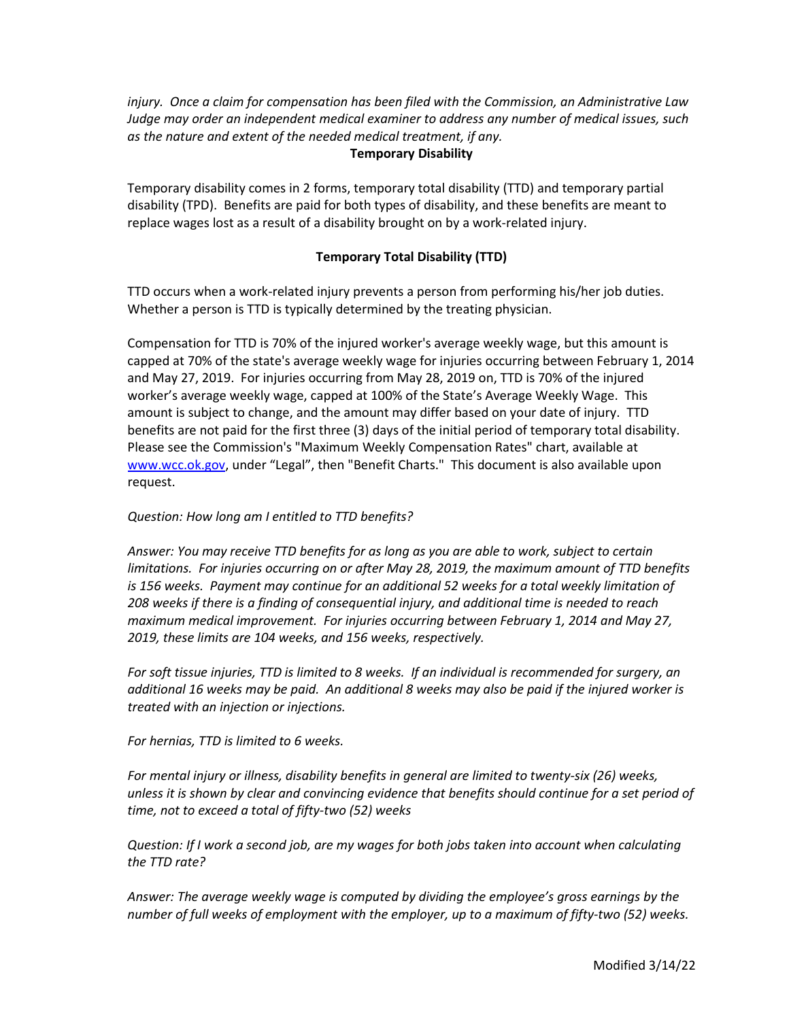*injury. Once a claim for compensation has been filed with the Commission, an Administrative Law Judge may order an independent medical examiner to address any number of medical issues, such as the nature and extent of the needed medical treatment, if any.* 

## **Temporary Disability**

Temporary disability comes in 2 forms, temporary total disability (TTD) and temporary partial disability (TPD). Benefits are paid for both types of disability, and these benefits are meant to replace wages lost as a result of a disability brought on by a work-related injury.

# **Temporary Total Disability (TTD)**

TTD occurs when a work-related injury prevents a person from performing his/her job duties. Whether a person is TTD is typically determined by the treating physician.

Compensation for TTD is 70% of the injured worker's average weekly wage, but this amount is capped at 70% of the state's average weekly wage for injuries occurring between February 1, 2014 and May 27, 2019. For injuries occurring from May 28, 2019 on, TTD is 70% of the injured worker's average weekly wage, capped at 100% of the State's Average Weekly Wage. This amount is subject to change, and the amount may differ based on your date of injury. TTD benefits are not paid for the first three (3) days of the initial period of temporary total disability. Please see the Commission's "Maximum Weekly Compensation Rates" chart, available at [www.wcc.ok.gov,](http://www.wcc.ok.gov/) under "Legal", then "Benefit Charts." This document is also available upon request.

# *Question: How long am I entitled to TTD benefits?*

*Answer: You may receive TTD benefits for as long as you are able to work, subject to certain limitations. For injuries occurring on or after May 28, 2019, the maximum amount of TTD benefits is 156 weeks. Payment may continue for an additional 52 weeks for a total weekly limitation of 208 weeks if there is a finding of consequential injury, and additional time is needed to reach maximum medical improvement. For injuries occurring between February 1, 2014 and May 27, 2019, these limits are 104 weeks, and 156 weeks, respectively.*

*For soft tissue injuries, TTD is limited to 8 weeks. If an individual is recommended for surgery, an additional 16 weeks may be paid. An additional 8 weeks may also be paid if the injured worker is treated with an injection or injections.* 

*For hernias, TTD is limited to 6 weeks.* 

*For mental injury or illness, disability benefits in general are limited to twenty-six (26) weeks, unless it is shown by clear and convincing evidence that benefits should continue for a set period of time, not to exceed a total of fifty-two (52) weeks*

*Question: If I work a second job, are my wages for both jobs taken into account when calculating the TTD rate?*

*Answer: The average weekly wage is computed by dividing the employee's gross earnings by the number of full weeks of employment with the employer, up to a maximum of fifty-two (52) weeks.*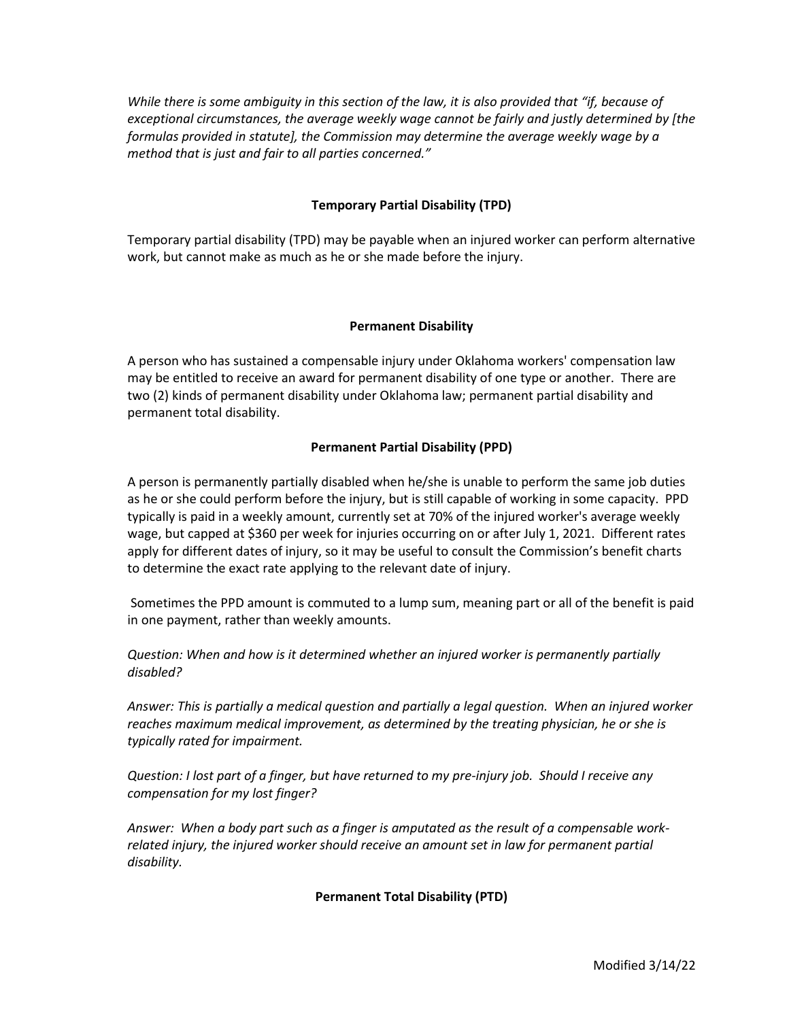*While there is some ambiguity in this section of the law, it is also provided that "if, because of exceptional circumstances, the average weekly wage cannot be fairly and justly determined by [the formulas provided in statute], the Commission may determine the average weekly wage by a method that is just and fair to all parties concerned."* 

## **Temporary Partial Disability (TPD)**

Temporary partial disability (TPD) may be payable when an injured worker can perform alternative work, but cannot make as much as he or she made before the injury.

## **Permanent Disability**

A person who has sustained a compensable injury under Oklahoma workers' compensation law may be entitled to receive an award for permanent disability of one type or another. There are two (2) kinds of permanent disability under Oklahoma law; permanent partial disability and permanent total disability.

## **Permanent Partial Disability (PPD)**

A person is permanently partially disabled when he/she is unable to perform the same job duties as he or she could perform before the injury, but is still capable of working in some capacity. PPD typically is paid in a weekly amount, currently set at 70% of the injured worker's average weekly wage, but capped at \$360 per week for injuries occurring on or after July 1, 2021. Different rates apply for different dates of injury, so it may be useful to consult the Commission's benefit charts to determine the exact rate applying to the relevant date of injury.

Sometimes the PPD amount is commuted to a lump sum, meaning part or all of the benefit is paid in one payment, rather than weekly amounts.

*Question: When and how is it determined whether an injured worker is permanently partially disabled?*

*Answer: This is partially a medical question and partially a legal question. When an injured worker reaches maximum medical improvement, as determined by the treating physician, he or she is typically rated for impairment.* 

*Question: I lost part of a finger, but have returned to my pre-injury job. Should I receive any compensation for my lost finger?*

*Answer: When a body part such as a finger is amputated as the result of a compensable workrelated injury, the injured worker should receive an amount set in law for permanent partial disability.*

## **Permanent Total Disability (PTD)**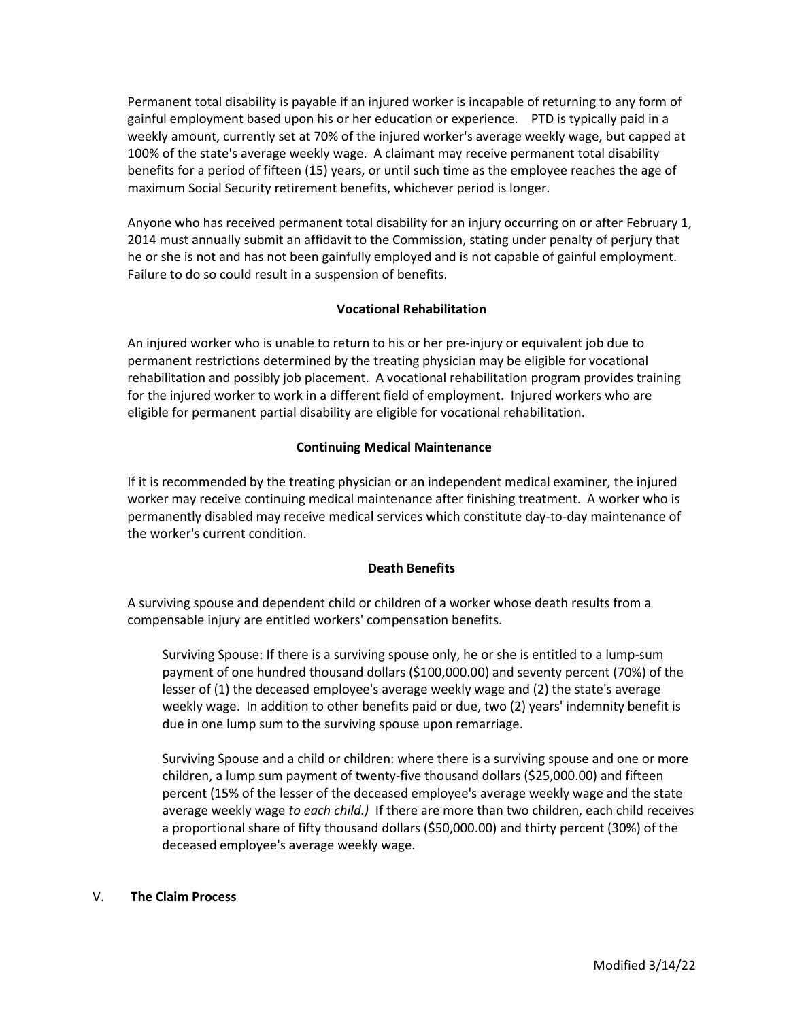Permanent total disability is payable if an injured worker is incapable of returning to any form of gainful employment based upon his or her education or experience. PTD is typically paid in a weekly amount, currently set at 70% of the injured worker's average weekly wage, but capped at 100% of the state's average weekly wage. A claimant may receive permanent total disability benefits for a period of fifteen (15) years, or until such time as the employee reaches the age of maximum Social Security retirement benefits, whichever period is longer.

Anyone who has received permanent total disability for an injury occurring on or after February 1, 2014 must annually submit an affidavit to the Commission, stating under penalty of perjury that he or she is not and has not been gainfully employed and is not capable of gainful employment. Failure to do so could result in a suspension of benefits.

## **Vocational Rehabilitation**

An injured worker who is unable to return to his or her pre-injury or equivalent job due to permanent restrictions determined by the treating physician may be eligible for vocational rehabilitation and possibly job placement. A vocational rehabilitation program provides training for the injured worker to work in a different field of employment. Injured workers who are eligible for permanent partial disability are eligible for vocational rehabilitation.

## **Continuing Medical Maintenance**

If it is recommended by the treating physician or an independent medical examiner, the injured worker may receive continuing medical maintenance after finishing treatment. A worker who is permanently disabled may receive medical services which constitute day-to-day maintenance of the worker's current condition.

# **Death Benefits**

A surviving spouse and dependent child or children of a worker whose death results from a compensable injury are entitled workers' compensation benefits.

Surviving Spouse: If there is a surviving spouse only, he or she is entitled to a lump-sum payment of one hundred thousand dollars (\$100,000.00) and seventy percent (70%) of the lesser of (1) the deceased employee's average weekly wage and (2) the state's average weekly wage. In addition to other benefits paid or due, two (2) years' indemnity benefit is due in one lump sum to the surviving spouse upon remarriage.

Surviving Spouse and a child or children: where there is a surviving spouse and one or more children, a lump sum payment of twenty-five thousand dollars (\$25,000.00) and fifteen percent (15% of the lesser of the deceased employee's average weekly wage and the state average weekly wage *to each child.)* If there are more than two children, each child receives a proportional share of fifty thousand dollars (\$50,000.00) and thirty percent (30%) of the deceased employee's average weekly wage.

## V. **The Claim Process**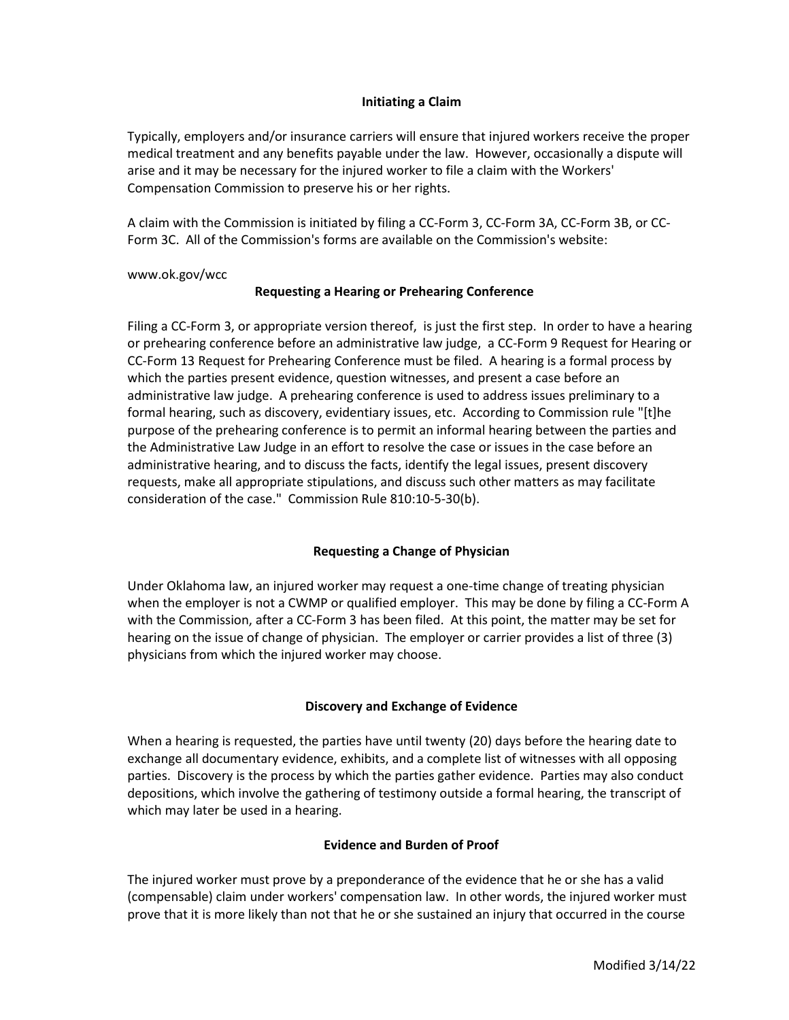### **Initiating a Claim**

Typically, employers and/or insurance carriers will ensure that injured workers receive the proper medical treatment and any benefits payable under the law. However, occasionally a dispute will arise and it may be necessary for the injured worker to file a claim with the Workers' Compensation Commission to preserve his or her rights.

A claim with the Commission is initiated by filing a CC-Form 3, CC-Form 3A, CC-Form 3B, or CC-Form 3C. All of the Commission's forms are available on the Commission's website:

www.ok.gov/wcc

## **Requesting a Hearing or Prehearing Conference**

Filing a CC-Form 3, or appropriate version thereof, is just the first step. In order to have a hearing or prehearing conference before an administrative law judge, a CC-Form 9 Request for Hearing or CC-Form 13 Request for Prehearing Conference must be filed. A hearing is a formal process by which the parties present evidence, question witnesses, and present a case before an administrative law judge. A prehearing conference is used to address issues preliminary to a formal hearing, such as discovery, evidentiary issues, etc. According to Commission rule "[t]he purpose of the prehearing conference is to permit an informal hearing between the parties and the Administrative Law Judge in an effort to resolve the case or issues in the case before an administrative hearing, and to discuss the facts, identify the legal issues, present discovery requests, make all appropriate stipulations, and discuss such other matters as may facilitate consideration of the case." Commission Rule 810:10-5-30(b).

## **Requesting a Change of Physician**

Under Oklahoma law, an injured worker may request a one-time change of treating physician when the employer is not a CWMP or qualified employer. This may be done by filing a CC-Form A with the Commission, after a CC-Form 3 has been filed. At this point, the matter may be set for hearing on the issue of change of physician. The employer or carrier provides a list of three (3) physicians from which the injured worker may choose.

## **Discovery and Exchange of Evidence**

When a hearing is requested, the parties have until twenty (20) days before the hearing date to exchange all documentary evidence, exhibits, and a complete list of witnesses with all opposing parties. Discovery is the process by which the parties gather evidence. Parties may also conduct depositions, which involve the gathering of testimony outside a formal hearing, the transcript of which may later be used in a hearing.

## **Evidence and Burden of Proof**

The injured worker must prove by a preponderance of the evidence that he or she has a valid (compensable) claim under workers' compensation law. In other words, the injured worker must prove that it is more likely than not that he or she sustained an injury that occurred in the course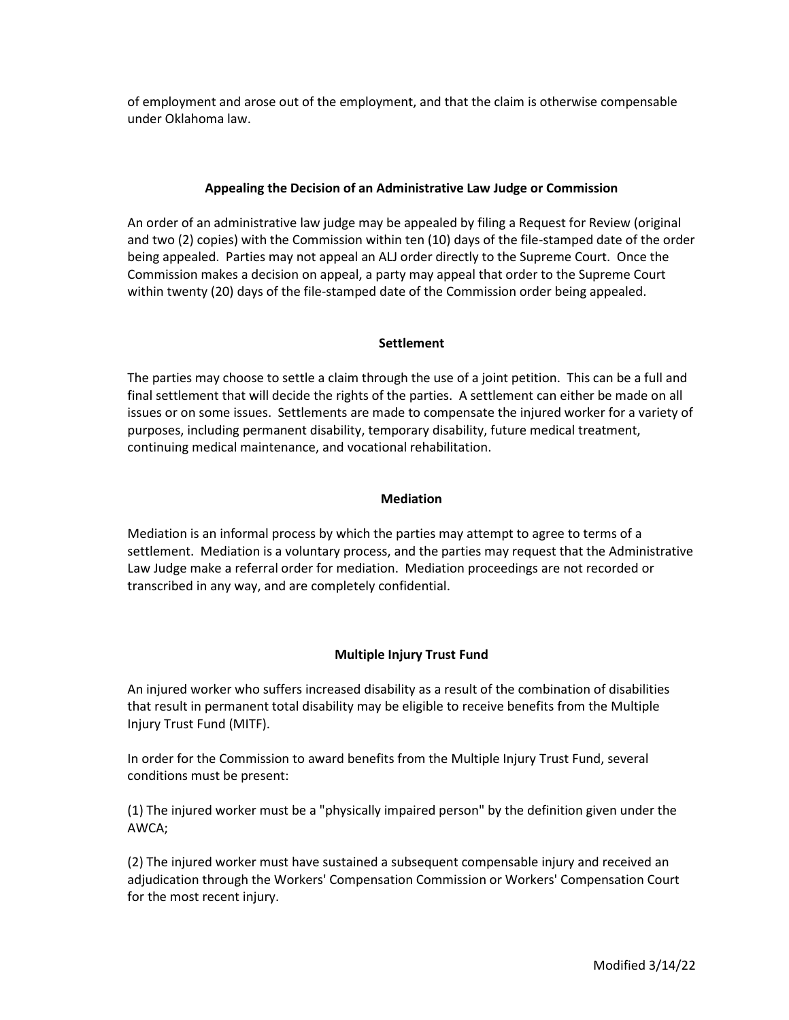of employment and arose out of the employment, and that the claim is otherwise compensable under Oklahoma law.

## **Appealing the Decision of an Administrative Law Judge or Commission**

An order of an administrative law judge may be appealed by filing a Request for Review (original and two (2) copies) with the Commission within ten (10) days of the file-stamped date of the order being appealed. Parties may not appeal an ALJ order directly to the Supreme Court. Once the Commission makes a decision on appeal, a party may appeal that order to the Supreme Court within twenty (20) days of the file-stamped date of the Commission order being appealed.

### **Settlement**

The parties may choose to settle a claim through the use of a joint petition. This can be a full and final settlement that will decide the rights of the parties. A settlement can either be made on all issues or on some issues. Settlements are made to compensate the injured worker for a variety of purposes, including permanent disability, temporary disability, future medical treatment, continuing medical maintenance, and vocational rehabilitation.

## **Mediation**

Mediation is an informal process by which the parties may attempt to agree to terms of a settlement. Mediation is a voluntary process, and the parties may request that the Administrative Law Judge make a referral order for mediation. Mediation proceedings are not recorded or transcribed in any way, and are completely confidential.

## **Multiple Injury Trust Fund**

An injured worker who suffers increased disability as a result of the combination of disabilities that result in permanent total disability may be eligible to receive benefits from the Multiple Injury Trust Fund (MITF).

In order for the Commission to award benefits from the Multiple Injury Trust Fund, several conditions must be present:

(1) The injured worker must be a "physically impaired person" by the definition given under the AWCA;

(2) The injured worker must have sustained a subsequent compensable injury and received an adjudication through the Workers' Compensation Commission or Workers' Compensation Court for the most recent injury.